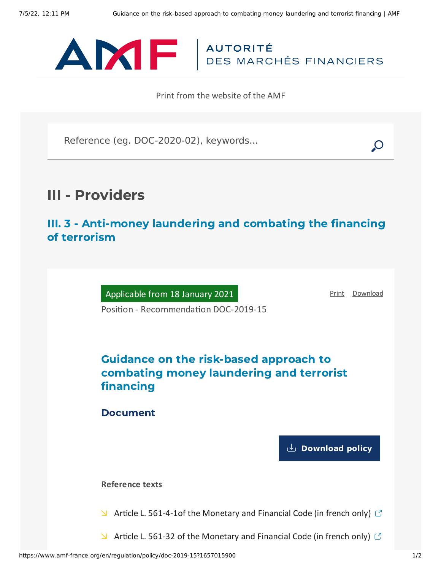

Print from the website of the AMF

Reference (eg. DOC-2020-02), keywords...

# III - Providers

III. 3 - Anti-money laundering and combating the financing of terrorism

Applicable from 18 January 2021

[Print](javascript:window.print()) [Download](https://www.amf-france.org/sites/default/files/pdf/62770/en/Guidance_on_the_risk-based_approach_to_combating_money_laundering_and_terrorist_financing.pdf?1657015901)

Position - Recommendation DOC-2019-15

## Guidance on the risk-based approach to combating money laundering and terrorist financing

Document

**[Download](https://www.amf-france.org/sites/default/files/private/2021-02/doc-2019-15_va2_ld-approche-par-les-risques_relu_sm.pdf) policy**

**Reference texts**

 $\blacktriangleright$  Article L. [561-4-1of](https://www.legifrance.gouv.fr/codes/id/LEGIARTI000033512785/2019-11-29/) the Monetary and Financial Code (in french only)  $\heartsuit$ 

 $\blacktriangleright$  Article L. 561-32 of the [Monetary](https://www.legifrance.gouv.fr/codes/id/LEGIARTI000038613542/2019-11-29/) and Financial Code (in french only)  $\heartsuit$